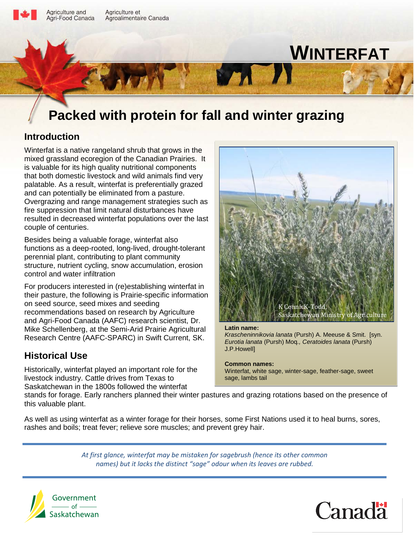

Agriculture and Agriculture et Agri-Food Canada Agroalimentaire Canada

# **WINTERFAT**

## **Packed with protein for fall and winter grazing**

## **Introduction**

Winterfat is a native rangeland shrub that grows in the mixed grassland ecoregion of the Canadian Prairies. It is valuable for its high quality nutritional components that both domestic livestock and wild animals find very palatable. As a result, winterfat is preferentially grazed and can potentially be eliminated from a pasture. Overgrazing and range management strategies such as fire suppression that limit natural disturbances have resulted in decreased winterfat populations over the last couple of centuries.

Besides being a valuable forage, winterfat also functions as a deep-rooted, long-lived, drought-tolerant perennial plant, contributing to plant community structure, nutrient cycling, snow accumulation, erosion control and water infiltration

For producers interested in (re)establishing winterfat in their pasture, the following is Prairie-specific information on seed source, seed mixes and seeding recommendations based on research by Agriculture and Agri-Food Canada (AAFC) research scientist, Dr. Mike Schellenberg, at the Semi-Arid Prairie Agricultural Research Centre (AAFC-SPARC) in Swift Current, SK.

## **Historical Use**

Historically, winterfat played an important role for the livestock industry. Cattle drives from Texas to Saskatchewan in the 1800s followed the winterfat



#### **Latin name:**

 $M<sub>1</sub>$ 

*Krascheninnikovia lanata* (Pursh) A. Meeuse & Smit. [syn. *Eurotia lanata* (Pursh) Moq*., Ceratoides lanata* (Pursh) J.P.Howell]

**Common names:** 

Winterfat, white sage, winter-sage, feather-sage, sweet sage, lambs tail

stands for forage. Early ranchers planned their winter pastures and grazing rotations based on the presence of this valuable plant.

As well as using winterfat as a winter forage for their horses, some First Nations used it to heal burns, sores, rashes and boils; treat fever; relieve sore muscles; and prevent grey hair.

> *At first glance, winterfat may be mistaken for sagebrush (hence its other common names) but it lacks the distinct "sage" odour when its leaves are rubbed.*



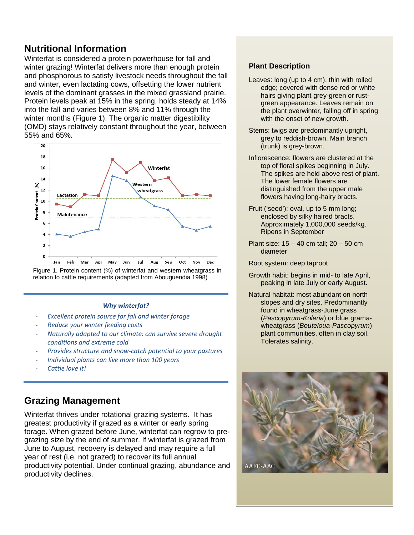## **Nutritional Information**

Winterfat is considered a protein powerhouse for fall and winter grazing! Winterfat delivers more than enough protein and phosphorous to satisfy livestock needs throughout the fall and winter, even lactating cows, offsetting the lower nutrient levels of the dominant grasses in the mixed grassland prairie. Protein levels peak at 15% in the spring, holds steady at 14% into the fall and varies between 8% and 11% through the winter months (Figure 1). The organic matter digestibility (OMD) stays relatively constant throughout the year, between 55% and 65%.



Figure 1. Protein content (%) of winterfat and western wheatgrass in relation to cattle requirements (adapted from Abouguendia 1998)

#### *Why winterfat?*

- *Excellent protein source for fall and winter forage*
- *Reduce your winter feeding costs*
- *Naturally adapted to our climate: can survive severe drought conditions and extreme cold*
- *Provides structure and snow-catch potential to your pastures*
- *Individual plants can live more than 100 years*
- *Cattle love it!*

## **Grazing Management**

Winterfat thrives under rotational grazing systems. It has greatest productivity if grazed as a winter or early spring forage. When grazed before June, winterfat can regrow to pregrazing size by the end of summer. If winterfat is grazed from June to August, recovery is delayed and may require a full year of rest (i.e. not grazed) to recover its full annual productivity potential. Under continual grazing, abundance and productivity declines.

#### **Plant Description**

- Leaves: long (up to 4 cm), thin with rolled edge; covered with dense red or white hairs giving plant grey-green or rustgreen appearance. Leaves remain on the plant overwinter, falling off in spring with the onset of new growth.
- Stems: twigs are predominantly upright, grey to reddish-brown. Main branch (trunk) is grey-brown.
- Inflorescence: flowers are clustered at the top of floral spikes beginning in July. The spikes are held above rest of plant. The lower female flowers are distinguished from the upper male flowers having long-hairy bracts.
- Fruit ('seed'): oval, up to 5 mm long; enclosed by silky haired bracts. Approximately 1,000,000 seeds/kg. Ripens in September
- Plant size: 15 40 cm tall; 20 50 cm diameter

Root system: deep taproot

- Growth habit: begins in mid- to late April, peaking in late July or early August.
- Natural habitat: most abundant on north slopes and dry sites. Predominantly found in wheatgrass-June grass (*Pascopyrum-Koleria*) or blue gramawheatgrass (*Bouteloua-Pascopyrum*) plant communities, often in clay soil. Tolerates salinity.

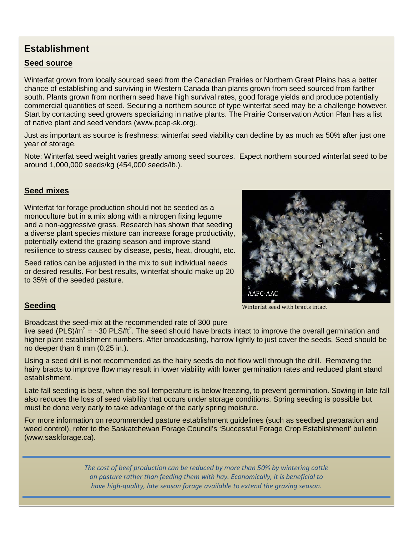## **Establishment**

#### **Seed source**

Winterfat grown from locally sourced seed from the Canadian Prairies or Northern Great Plains has a better chance of establishing and surviving in Western Canada than plants grown from seed sourced from farther south. Plants grown from northern seed have high survival rates, good forage yields and produce potentially commercial quantities of seed. Securing a northern source of type winterfat seed may be a challenge however. Start by contacting seed growers specializing in native plants. The Prairie Conservation Action Plan has a list of native plant and seed vendors (www.pcap-sk.org).

Just as important as source is freshness: winterfat seed viability can decline by as much as 50% after just one year of storage.

Note: Winterfat seed weight varies greatly among seed sources. Expect northern sourced winterfat seed to be around 1,000,000 seeds/kg (454,000 seeds/lb.).

#### **Seed mixes**

Winterfat for forage production should not be seeded as a monoculture but in a mix along with a nitrogen fixing legume and a non-aggressive grass. Research has shown that seeding a diverse plant species mixture can increase forage productivity, potentially extend the grazing season and improve stand resilience to stress caused by disease, pests, heat, drought, etc.

Seed ratios can be adjusted in the mix to suit individual needs or desired results. For best results, winterfat should make up 20 to 35% of the seeded pasture.



#### **Seeding**

Broadcast the seed-mix at the recommended rate of 300 pure

live seed (PLS)/m<sup>2</sup> = ~30 PLS/ft<sup>2</sup>. The seed should have bracts intact to improve the overall germination and higher plant establishment numbers. After broadcasting, harrow lightly to just cover the seeds. Seed should be no deeper than 6 mm (0.25 in.).

Using a seed drill is not recommended as the hairy seeds do not flow well through the drill. Removing the hairy bracts to improve flow may result in lower viability with lower germination rates and reduced plant stand establishment.

Late fall seeding is best, when the soil temperature is below freezing, to prevent germination. Sowing in late fall also reduces the loss of seed viability that occurs under storage conditions. Spring seeding is possible but must be done very early to take advantage of the early spring moisture.

For more information on recommended pasture establishment guidelines (such as seedbed preparation and weed control), refer to the Saskatchewan Forage Council's 'Successful Forage Crop Establishment' bulletin (www.saskforage.ca).

> *The cost of beef production can be reduced by more than 50% by wintering cattle on pasture rather than feeding them with hay. Economically, it is beneficial to have high-quality, late season forage available to extend the grazing season.*